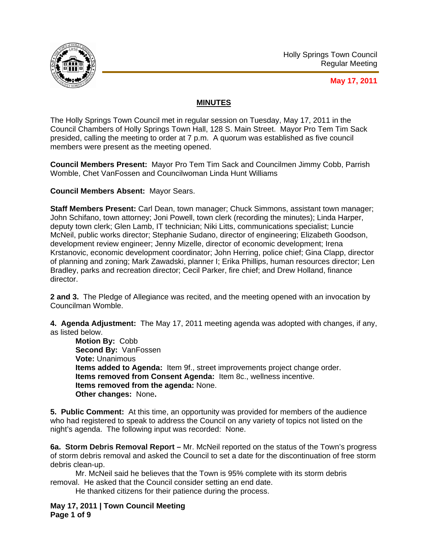

## **May 17, 2011**

## **MINUTES**

The Holly Springs Town Council met in regular session on Tuesday, May 17, 2011 in the Council Chambers of Holly Springs Town Hall, 128 S. Main Street. Mayor Pro Tem Tim Sack presided, calling the meeting to order at 7 p.m. A quorum was established as five council members were present as the meeting opened.

**Council Members Present:** Mayor Pro Tem Tim Sack and Councilmen Jimmy Cobb, Parrish Womble, Chet VanFossen and Councilwoman Linda Hunt Williams

**Council Members Absent:** Mayor Sears.

**Staff Members Present:** Carl Dean, town manager; Chuck Simmons, assistant town manager; John Schifano, town attorney; Joni Powell, town clerk (recording the minutes); Linda Harper, deputy town clerk; Glen Lamb, IT technician; Niki Litts, communications specialist; Luncie McNeil, public works director; Stephanie Sudano, director of engineering; Elizabeth Goodson, development review engineer; Jenny Mizelle, director of economic development; Irena Krstanovic, economic development coordinator; John Herring, police chief; Gina Clapp, director of planning and zoning; Mark Zawadski, planner I; Erika Phillips, human resources director; Len Bradley, parks and recreation director; Cecil Parker, fire chief; and Drew Holland, finance director.

**2 and 3.** The Pledge of Allegiance was recited, and the meeting opened with an invocation by Councilman Womble.

**4. Agenda Adjustment:** The May 17, 2011 meeting agenda was adopted with changes, if any, as listed below.

**Motion By:** Cobb **Second By:** VanFossen **Vote:** Unanimous **Items added to Agenda:** Item 9f., street improvements project change order. **Items removed from Consent Agenda:** Item 8c., wellness incentive. **Items removed from the agenda:** None. **Other changes:** None**.** 

**5. Public Comment:** At this time, an opportunity was provided for members of the audience who had registered to speak to address the Council on any variety of topics not listed on the night's agenda. The following input was recorded: None.

**6a. Storm Debris Removal Report –** Mr. McNeil reported on the status of the Town's progress of storm debris removal and asked the Council to set a date for the discontinuation of free storm debris clean-up.

Mr. McNeil said he believes that the Town is 95% complete with its storm debris removal. He asked that the Council consider setting an end date.

He thanked citizens for their patience during the process.

**May 17, 2011 | Town Council Meeting Page 1 of 9**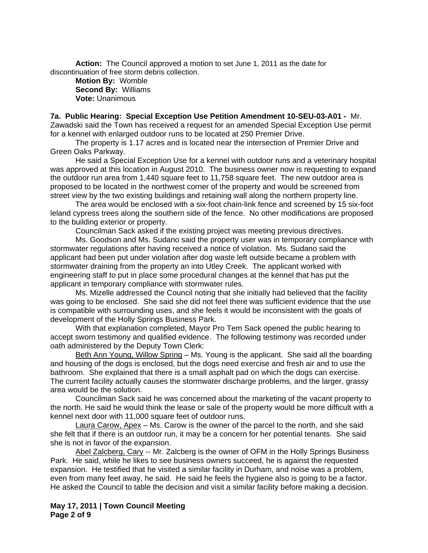**Action:** The Council approved a motion to set June 1, 2011 as the date for discontinuation of free storm debris collection.

**Motion By:** Womble **Second By:** Williams **Vote:** Unanimous

**7a. Public Hearing: Special Exception Use Petition Amendment 10-SEU-03-A01 -** Mr. Zawadski said the Town has received a request for an amended Special Exception Use permit for a kennel with enlarged outdoor runs to be located at 250 Premier Drive.

 The property is 1.17 acres and is located near the intersection of Premier Drive and Green Oaks Parkway.

 He said a Special Exception Use for a kennel with outdoor runs and a veterinary hospital was approved at this location in August 2010. The business owner now is requesting to expand the outdoor run area from 1,440 square feet to 11,758 square feet. The new outdoor area is proposed to be located in the northwest corner of the property and would be screened from street view by the two existing buildings and retaining wall along the northern property line.

 The area would be enclosed with a six-foot chain-link fence and screened by 15 six-foot leland cypress trees along the southern side of the fence. No other modifications are proposed to the building exterior or property.

Councilman Sack asked if the existing project was meeting previous directives.

 Ms. Goodson and Ms. Sudano said the property user was in temporary compliance with stormwater regulations after having received a notice of violation. Ms. Sudano said the applicant had been put under violation after dog waste left outside became a problem with stormwater draining from the property an into Utley Creek. The applicant worked with engineering staff to put in place some procedural changes at the kennel that has put the applicant in temporary compliance with stormwater rules.

Ms. Mizelle addressed the Council noting that she initially had believed that the facility was going to be enclosed. She said she did not feel there was sufficient evidence that the use is compatible with surrounding uses, and she feels it would be inconsistent with the goals of development of the Holly Springs Business Park.

With that explanation completed, Mayor Pro Tem Sack opened the public hearing to accept sworn testimony and qualified evidence. The following testimony was recorded under oath administered by the Deputy Town Clerk:

Beth Ann Young, Willow Spring – Ms. Young is the applicant. She said all the boarding and housing of the dogs is enclosed, but the dogs need exercise and fresh air and to use the bathroom. She explained that there is a small asphalt pad on which the dogs can exercise. The current facility actually causes the stormwater discharge problems, and the larger, grassy area would be the solution.

Councilman Sack said he was concerned about the marketing of the vacant property to the north. He said he would think the lease or sale of the property would be more difficult with a kennel next door with 11,000 square feet of outdoor runs.

Laura Carow, Apex – Ms. Carow is the owner of the parcel to the north, and she said she felt that if there is an outdoor run, it may be a concern for her potential tenants. She said she is not in favor of the expansion.

Abel Zalcberg, Cary -- Mr. Zalcberg is the owner of OFM in the Holly Springs Business Park. He said, while he likes to see business owners succeed, he is against the requested expansion. He testified that he visited a similar facility in Durham, and noise was a problem, even from many feet away, he said. He said he feels the hygiene also is going to be a factor. He asked the Council to table the decision and visit a similar facility before making a decision.

### **May 17, 2011 | Town Council Meeting Page 2 of 9**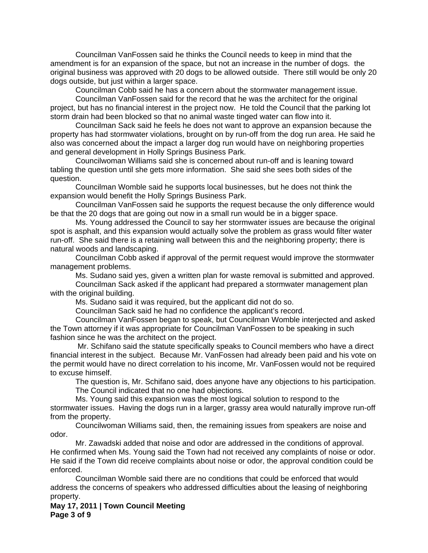Councilman VanFossen said he thinks the Council needs to keep in mind that the amendment is for an expansion of the space, but not an increase in the number of dogs. the original business was approved with 20 dogs to be allowed outside. There still would be only 20 dogs outside, but just within a larger space.

Councilman Cobb said he has a concern about the stormwater management issue.

Councilman VanFossen said for the record that he was the architect for the original project, but has no financial interest in the project now. He told the Council that the parking lot storm drain had been blocked so that no animal waste tinged water can flow into it.

Councilman Sack said he feels he does not want to approve an expansion because the property has had stormwater violations, brought on by run-off from the dog run area. He said he also was concerned about the impact a larger dog run would have on neighboring properties and general development in Holly Springs Business Park.

Councilwoman Williams said she is concerned about run-off and is leaning toward tabling the question until she gets more information. She said she sees both sides of the question.

Councilman Womble said he supports local businesses, but he does not think the expansion would benefit the Holly Springs Business Park.

Councilman VanFossen said he supports the request because the only difference would be that the 20 dogs that are going out now in a small run would be in a bigger space.

Ms. Young addressed the Council to say her stormwater issues are because the original spot is asphalt, and this expansion would actually solve the problem as grass would filter water run-off. She said there is a retaining wall between this and the neighboring property; there is natural woods and landscaping.

Councilman Cobb asked if approval of the permit request would improve the stormwater management problems.

Ms. Sudano said yes, given a written plan for waste removal is submitted and approved.

Councilman Sack asked if the applicant had prepared a stormwater management plan with the original building.

Ms. Sudano said it was required, but the applicant did not do so.

Councilman Sack said he had no confidence the applicant's record.

Councilman VanFossen began to speak, but Councilman Womble interjected and asked the Town attorney if it was appropriate for Councilman VanFossen to be speaking in such fashion since he was the architect on the project.

 Mr. Schifano said the statute specifically speaks to Council members who have a direct financial interest in the subject. Because Mr. VanFossen had already been paid and his vote on the permit would have no direct correlation to his income, Mr. VanFossen would not be required to excuse himself.

The question is, Mr. Schifano said, does anyone have any objections to his participation. The Council indicated that no one had objections.

Ms. Young said this expansion was the most logical solution to respond to the

stormwater issues. Having the dogs run in a larger, grassy area would naturally improve run-off from the property.

Councilwoman Williams said, then, the remaining issues from speakers are noise and odor.

Mr. Zawadski added that noise and odor are addressed in the conditions of approval. He confirmed when Ms. Young said the Town had not received any complaints of noise or odor. He said if the Town did receive complaints about noise or odor, the approval condition could be enforced.

Councilman Womble said there are no conditions that could be enforced that would address the concerns of speakers who addressed difficulties about the leasing of neighboring property.

**May 17, 2011 | Town Council Meeting Page 3 of 9**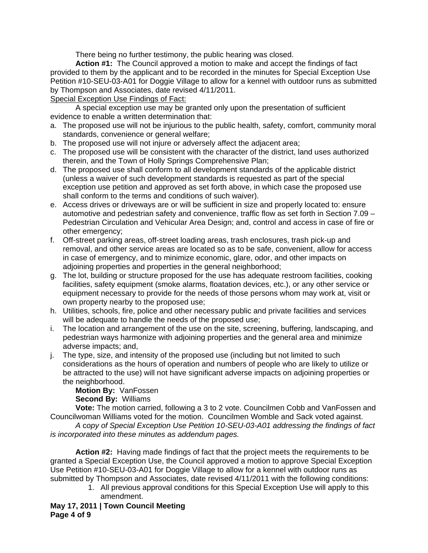There being no further testimony, the public hearing was closed.

**Action #1:** The Council approved a motion to make and accept the findings of fact provided to them by the applicant and to be recorded in the minutes for Special Exception Use Petition #10-SEU-03-A01 for Doggie Village to allow for a kennel with outdoor runs as submitted by Thompson and Associates, date revised 4/11/2011.

# Special Exception Use Findings of Fact:

 A special exception use may be granted only upon the presentation of sufficient evidence to enable a written determination that:

- a. The proposed use will not be injurious to the public health, safety, comfort, community moral standards, convenience or general welfare;
- b. The proposed use will not injure or adversely affect the adjacent area;
- c. The proposed use will be consistent with the character of the district, land uses authorized therein, and the Town of Holly Springs Comprehensive Plan;
- d. The proposed use shall conform to all development standards of the applicable district (unless a waiver of such development standards is requested as part of the special exception use petition and approved as set forth above, in which case the proposed use shall conform to the terms and conditions of such waiver).
- e. Access drives or driveways are or will be sufficient in size and properly located to: ensure automotive and pedestrian safety and convenience, traffic flow as set forth in Section 7.09 – Pedestrian Circulation and Vehicular Area Design; and, control and access in case of fire or other emergency;
- f. Off-street parking areas, off-street loading areas, trash enclosures, trash pick-up and removal, and other service areas are located so as to be safe, convenient, allow for access in case of emergency, and to minimize economic, glare, odor, and other impacts on adjoining properties and properties in the general neighborhood;
- g. The lot, building or structure proposed for the use has adequate restroom facilities, cooking facilities, safety equipment (smoke alarms, floatation devices, etc.), or any other service or equipment necessary to provide for the needs of those persons whom may work at, visit or own property nearby to the proposed use;
- h. Utilities, schools, fire, police and other necessary public and private facilities and services will be adequate to handle the needs of the proposed use;
- i. The location and arrangement of the use on the site, screening, buffering, landscaping, and pedestrian ways harmonize with adjoining properties and the general area and minimize adverse impacts; and,
- j. The type, size, and intensity of the proposed use (including but not limited to such considerations as the hours of operation and numbers of people who are likely to utilize or be attracted to the use) will not have significant adverse impacts on adjoining properties or the neighborhood.

**Motion By:** VanFossen **Second By:** Williams

**Vote:** The motion carried, following a 3 to 2 vote. Councilmen Cobb and VanFossen and Councilwoman Williams voted for the motion. Councilmen Womble and Sack voted against.

*A* c*opy of Special Exception Use Petition 10-SEU-03-A01 addressing the findings of fact is incorporated into these minutes as addendum pages.* 

**Action #2:** Having made findings of fact that the project meets the requirements to be granted a Special Exception Use, the Council approved a motion to approve Special Exception Use Petition #10-SEU-03-A01 for Doggie Village to allow for a kennel with outdoor runs as submitted by Thompson and Associates, date revised 4/11/2011 with the following conditions:

- 1. All previous approval conditions for this Special Exception Use will apply to this amendment.
- **May 17, 2011 | Town Council Meeting Page 4 of 9**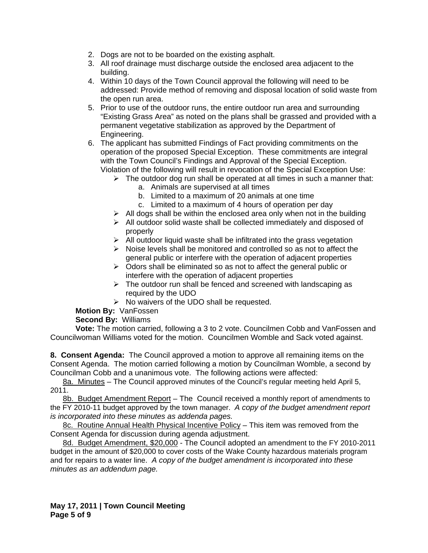- 2. Dogs are not to be boarded on the existing asphalt.
- 3. All roof drainage must discharge outside the enclosed area adjacent to the building.
- 4. Within 10 days of the Town Council approval the following will need to be addressed: Provide method of removing and disposal location of solid waste from the open run area.
- 5. Prior to use of the outdoor runs, the entire outdoor run area and surrounding "Existing Grass Area" as noted on the plans shall be grassed and provided with a permanent vegetative stabilization as approved by the Department of Engineering.
- 6. The applicant has submitted Findings of Fact providing commitments on the operation of the proposed Special Exception. These commitments are integral with the Town Council's Findings and Approval of the Special Exception. Violation of the following will result in revocation of the Special Exception Use:
	- $\triangleright$  The outdoor dog run shall be operated at all times in such a manner that:
		- a. Animals are supervised at all times
		- b. Limited to a maximum of 20 animals at one time
		- c. Limited to a maximum of 4 hours of operation per day
	- $\triangleright$  All dogs shall be within the enclosed area only when not in the building
	- $\triangleright$  All outdoor solid waste shall be collected immediately and disposed of properly
	- $\triangleright$  All outdoor liquid waste shall be infiltrated into the grass vegetation
	- $\triangleright$  Noise levels shall be monitored and controlled so as not to affect the general public or interfere with the operation of adjacent properties
	- $\triangleright$  Odors shall be eliminated so as not to affect the general public or interfere with the operation of adjacent properties
	- $\triangleright$  The outdoor run shall be fenced and screened with landscaping as required by the UDO
	- $\triangleright$  No waivers of the UDO shall be requested.

**Motion By:** VanFossen

# **Second By:** Williams

**Vote:** The motion carried, following a 3 to 2 vote. Councilmen Cobb and VanFossen and Councilwoman Williams voted for the motion. Councilmen Womble and Sack voted against.

**8. Consent Agenda:** The Council approved a motion to approve all remaining items on the Consent Agenda. The motion carried following a motion by Councilman Womble, a second by Councilman Cobb and a unanimous vote. The following actions were affected:

8a. Minutes – The Council approved minutes of the Council's regular meeting held April 5, 2011.

8b. Budget Amendment Report - The Council received a monthly report of amendments to the FY 2010-11 budget approved by the town manager. *A copy of the budget amendment report is incorporated into these minutes as addenda pages.*

8c. Routine Annual Health Physical Incentive Policy – This item was removed from the Consent Agenda for discussion during agenda adjustment.

8d. Budget Amendment, \$20,000 - The Council adopted an amendment to the FY 2010-2011 budget in the amount of \$20,000 to cover costs of the Wake County hazardous materials program and for repairs to a water line. *A copy of the budget amendment is incorporated into these minutes as an addendum page.*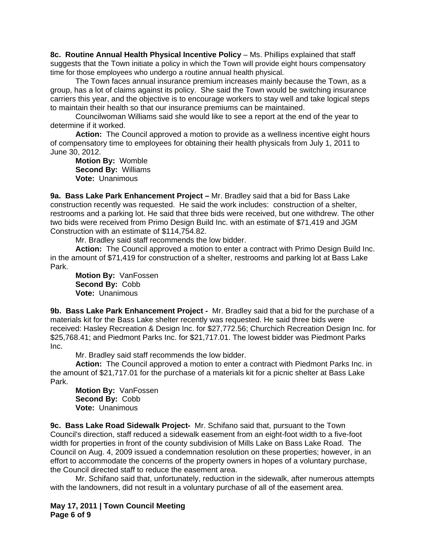**8c. Routine Annual Health Physical Incentive Policy** – Ms. Phillips explained that staff suggests that the Town initiate a policy in which the Town will provide eight hours compensatory time for those employees who undergo a routine annual health physical.

 The Town faces annual insurance premium increases mainly because the Town, as a group, has a lot of claims against its policy. She said the Town would be switching insurance carriers this year, and the objective is to encourage workers to stay well and take logical steps to maintain their health so that our insurance premiums can be maintained.

 Councilwoman Williams said she would like to see a report at the end of the year to determine if it worked.

 **Action:** The Council approved a motion to provide as a wellness incentive eight hours of compensatory time to employees for obtaining their health physicals from July 1, 2011 to June 30, 2012.

 **Motion By:** Womble  **Second By:** Williams  **Vote:** Unanimous

**9a. Bass Lake Park Enhancement Project –** Mr. Bradley said that a bid for Bass Lake construction recently was requested. He said the work includes: construction of a shelter, restrooms and a parking lot. He said that three bids were received, but one withdrew. The other two bids were received from Primo Design Build Inc. with an estimate of \$71,419 and JGM Construction with an estimate of \$114,754.82.

Mr. Bradley said staff recommends the low bidder.

**Action:** The Council approved a motion to enter a contract with Primo Design Build Inc. in the amount of \$71,419 for construction of a shelter, restrooms and parking lot at Bass Lake Park.

**Motion By:** VanFossen **Second By:** Cobb **Vote:** Unanimous

**9b. Bass Lake Park Enhancement Project -** Mr. Bradley said that a bid for the purchase of a materials kit for the Bass Lake shelter recently was requested. He said three bids were received: Hasley Recreation & Design Inc. for \$27,772.56; Churchich Recreation Design Inc. for \$25,768.41; and Piedmont Parks Inc. for \$21,717.01. The lowest bidder was Piedmont Parks Inc.

Mr. Bradley said staff recommends the low bidder.

**Action:** The Council approved a motion to enter a contract with Piedmont Parks Inc. in the amount of \$21,717.01 for the purchase of a materials kit for a picnic shelter at Bass Lake Park.

**Motion By:** VanFossen **Second By:** Cobb **Vote:** Unanimous

**9c. Bass Lake Road Sidewalk Project-** Mr. Schifano said that, pursuant to the Town Council's direction, staff reduced a sidewalk easement from an eight-foot width to a five-foot width for properties in front of the county subdivision of Mills Lake on Bass Lake Road. The Council on Aug. 4, 2009 issued a condemnation resolution on these properties; however, in an effort to accommodate the concerns of the property owners in hopes of a voluntary purchase, the Council directed staff to reduce the easement area.

 Mr. Schifano said that, unfortunately, reduction in the sidewalk, after numerous attempts with the landowners, did not result in a voluntary purchase of all of the easement area.

**May 17, 2011 | Town Council Meeting Page 6 of 9**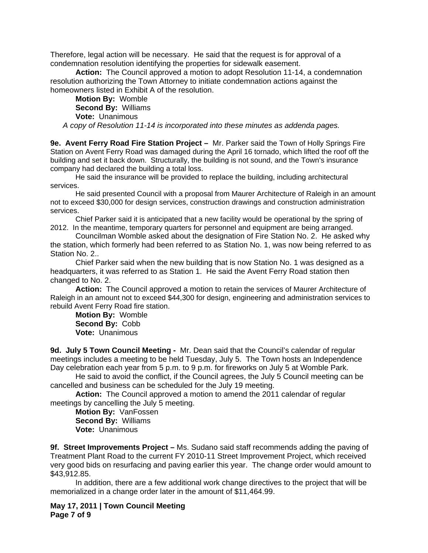Therefore, legal action will be necessary. He said that the request is for approval of a condemnation resolution identifying the properties for sidewalk easement.

**Action:** The Council approved a motion to adopt Resolution 11-14, a condemnation resolution authorizing the Town Attorney to initiate condemnation actions against the homeowners listed in Exhibit A of the resolution.

**Motion By:** Womble **Second By:** Williams **Vote:** Unanimous

*A copy of Resolution 11-14 is incorporated into these minutes as addenda pages.*

**9e. Avent Ferry Road Fire Station Project –** Mr. Parker said the Town of Holly Springs Fire Station on Avent Ferry Road was damaged during the April 16 tornado, which lifted the roof off the building and set it back down. Structurally, the building is not sound, and the Town's insurance company had declared the building a total loss.

 He said the insurance will be provided to replace the building, including architectural services.

 He said presented Council with a proposal from Maurer Architecture of Raleigh in an amount not to exceed \$30,000 for design services, construction drawings and construction administration services.

 Chief Parker said it is anticipated that a new facility would be operational by the spring of 2012. In the meantime, temporary quarters for personnel and equipment are being arranged.

Councilman Womble asked about the designation of Fire Station No. 2. He asked why the station, which formerly had been referred to as Station No. 1, was now being referred to as Station No. 2..

Chief Parker said when the new building that is now Station No. 1 was designed as a headquarters, it was referred to as Station 1. He said the Avent Ferry Road station then changed to No. 2.

**Action:** The Council approved a motion to retain the services of Maurer Architecture of Raleigh in an amount not to exceed \$44,300 for design, engineering and administration services to rebuild Avent Ferry Road fire station.

**Motion By:** Womble **Second By:** Cobb **Vote:** Unanimous

**9d. July 5 Town Council Meeting -** Mr. Dean said that the Council's calendar of regular meetings includes a meeting to be held Tuesday, July 5. The Town hosts an Independence Day celebration each year from 5 p.m. to 9 p.m. for fireworks on July 5 at Womble Park.

 He said to avoid the conflict, if the Council agrees, the July 5 Council meeting can be cancelled and business can be scheduled for the July 19 meeting.

**Action:** The Council approved a motion to amend the 2011 calendar of regular meetings by cancelling the July 5 meeting.

**Motion By:** VanFossen **Second By:** Williams **Vote:** Unanimous

**9f. Street Improvements Project –** Ms. Sudano said staff recommends adding the paving of Treatment Plant Road to the current FY 2010-11 Street Improvement Project, which received very good bids on resurfacing and paving earlier this year. The change order would amount to \$43,912.85.

 In addition, there are a few additional work change directives to the project that will be memorialized in a change order later in the amount of \$11,464.99.

**May 17, 2011 | Town Council Meeting Page 7 of 9**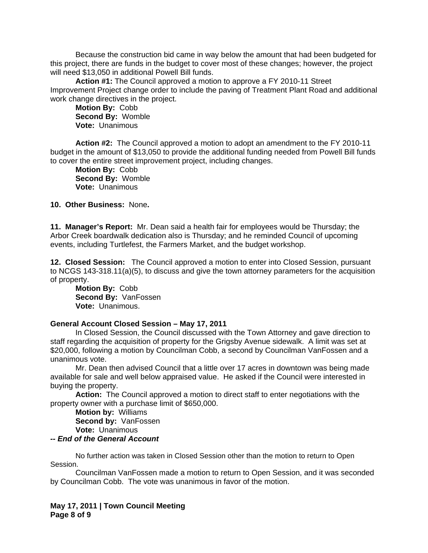Because the construction bid came in way below the amount that had been budgeted for this project, there are funds in the budget to cover most of these changes; however, the project will need \$13,050 in additional Powell Bill funds.

 **Action #1:** The Council approved a motion to approve a FY 2010-11 Street Improvement Project change order to include the paving of Treatment Plant Road and additional work change directives in the project.

**Motion By:** Cobb **Second By:** Womble **Vote:** Unanimous

 **Action #2:** The Council approved a motion to adopt an amendment to the FY 2010-11 budget in the amount of \$13,050 to provide the additional funding needed from Powell Bill funds to cover the entire street improvement project, including changes.

 **Motion By:** Cobb **Second By:** Womble **Vote:** Unanimous

### **10. Other Business:** None**.**

**11. Manager's Report:** Mr. Dean said a health fair for employees would be Thursday; the Arbor Creek boardwalk dedication also is Thursday; and he reminded Council of upcoming events, including Turtlefest, the Farmers Market, and the budget workshop.

**12. Closed Session:** The Council approved a motion to enter into Closed Session, pursuant to NCGS 143-318.11(a)(5), to discuss and give the town attorney parameters for the acquisition of property.

**Motion By:** Cobb **Second By:** VanFossen **Vote:** Unanimous.

#### **General Account Closed Session – May 17, 2011**

 In Closed Session, the Council discussed with the Town Attorney and gave direction to staff regarding the acquisition of property for the Grigsby Avenue sidewalk. A limit was set at \$20,000, following a motion by Councilman Cobb, a second by Councilman VanFossen and a unanimous vote.

 Mr. Dean then advised Council that a little over 17 acres in downtown was being made available for sale and well below appraised value. He asked if the Council were interested in buying the property.

**Action:** The Council approved a motion to direct staff to enter negotiations with the property owner with a purchase limit of \$650,000.

**Motion by:** Williams **Second by:** VanFossen **Vote:** Unanimous

#### *-- End of the General Account*

No further action was taken in Closed Session other than the motion to return to Open Session.

Councilman VanFossen made a motion to return to Open Session, and it was seconded by Councilman Cobb. The vote was unanimous in favor of the motion.

**May 17, 2011 | Town Council Meeting Page 8 of 9**